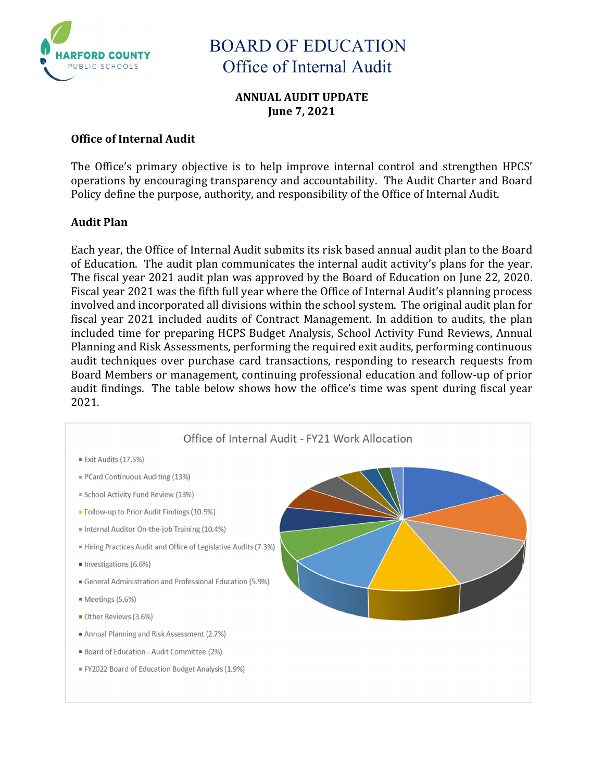

### **ANNUAL AUDIT UPDATE June 7, 2021**

### **Office of Internal Audit**

The Office's primary objective is to help improve internal control and strengthen HPCS' operations by encouraging transparency and accountability. The Audit Charter and Board Policy define the purpose, authority, and responsibility of the Office of Internal Audit.

### **Audit Plan**

Each year, the Office of Internal Audit submits its risk based annual audit plan to the Board of Education. The audit plan communicates the internal audit activity's plans for the year. The fiscal year 2021 audit plan was approved by the Board of Education on June 22, 2020. Fiscal year 2021 was the fifth full year where the Office of Internal Audit's planning process involved and incorporated all divisions within the school system. The original audit plan for fiscal year 2021 included audits of Contract Management. In addition to audits, the plan included time for preparing HCPS Budget Analysis, School Activity Fund Reviews, Annual Planning and Risk Assessments, performing the required exit audits, performing continuous audit techniques over purchase card transactions, responding to research requests from Board Members or management, continuing professional education and follow-up of prior audit findings. The table below shows how the office's time was spent during fiscal year 2021.

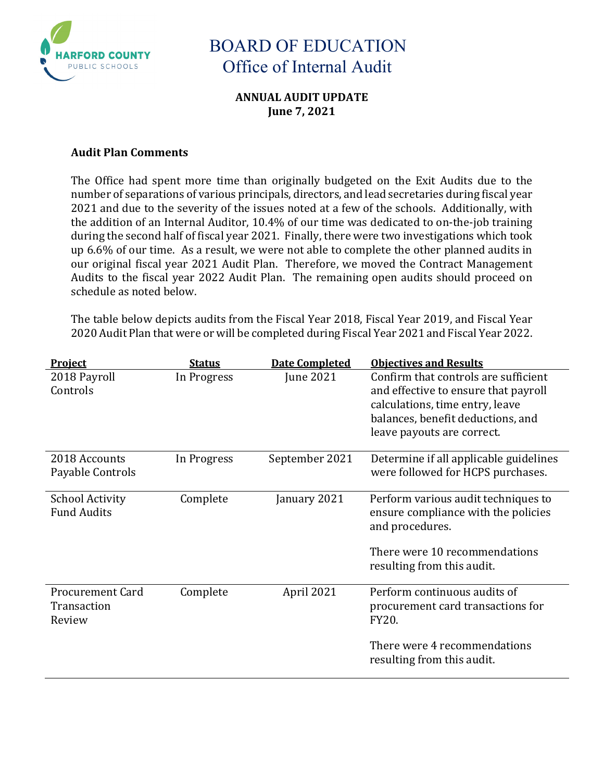

### **ANNUAL AUDIT UPDATE June 7, 2021**

#### **Audit Plan Comments**

The Office had spent more time than originally budgeted on the Exit Audits due to the number of separations of various principals, directors, and lead secretaries during fiscal year 2021 and due to the severity of the issues noted at a few of the schools. Additionally, with the addition of an Internal Auditor, 10.4% of our time was dedicated to on-the-job training during the second half of fiscal year 2021. Finally, there were two investigations which took up 6.6% of our time. As a result, we were not able to complete the other planned audits in our original fiscal year 2021 Audit Plan. Therefore, we moved the Contract Management Audits to the fiscal year 2022 Audit Plan. The remaining open audits should proceed on schedule as noted below.

The table below depicts audits from the Fiscal Year 2018, Fiscal Year 2019, and Fiscal Year 2020 Audit Plan that were or will be completed during Fiscal Year 2021 and Fiscal Year 2022.

| <b>Project</b>                                   | <b>Status</b> | <b>Date Completed</b> | <b>Objectives and Results</b>                                                                                                                                                      |
|--------------------------------------------------|---------------|-----------------------|------------------------------------------------------------------------------------------------------------------------------------------------------------------------------------|
| 2018 Payroll<br>Controls                         | In Progress   | June 2021             | Confirm that controls are sufficient<br>and effective to ensure that payroll<br>calculations, time entry, leave<br>balances, benefit deductions, and<br>leave payouts are correct. |
| 2018 Accounts<br>Payable Controls                | In Progress   | September 2021        | Determine if all applicable guidelines<br>were followed for HCPS purchases.                                                                                                        |
| <b>School Activity</b><br><b>Fund Audits</b>     | Complete      | January 2021          | Perform various audit techniques to<br>ensure compliance with the policies<br>and procedures.<br>There were 10 recommendations<br>resulting from this audit.                       |
| <b>Procurement Card</b><br>Transaction<br>Review | Complete      | April 2021            | Perform continuous audits of<br>procurement card transactions for<br>FY20.<br>There were 4 recommendations<br>resulting from this audit.                                           |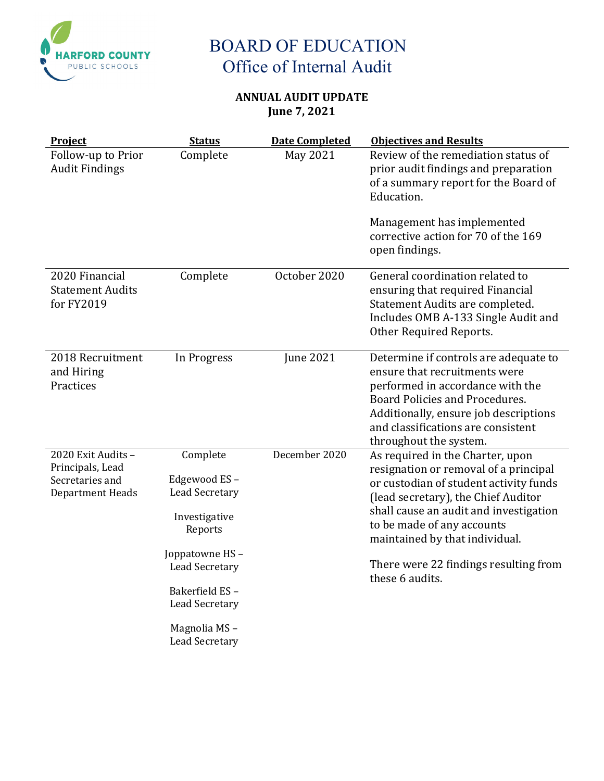

## **ANNUAL AUDIT UPDATE June 7, 2021**

| Project                                                                       | <b>Status</b>                                                                                                            | <b>Date Completed</b> | <b>Objectives and Results</b>                                                                                                                                                                                                                                                                                                    |
|-------------------------------------------------------------------------------|--------------------------------------------------------------------------------------------------------------------------|-----------------------|----------------------------------------------------------------------------------------------------------------------------------------------------------------------------------------------------------------------------------------------------------------------------------------------------------------------------------|
| Follow-up to Prior<br><b>Audit Findings</b>                                   | Complete                                                                                                                 | May 2021              | Review of the remediation status of<br>prior audit findings and preparation<br>of a summary report for the Board of<br>Education.<br>Management has implemented<br>corrective action for 70 of the 169<br>open findings.                                                                                                         |
|                                                                               |                                                                                                                          |                       |                                                                                                                                                                                                                                                                                                                                  |
| 2020 Financial<br><b>Statement Audits</b><br>for FY2019                       | Complete                                                                                                                 | October 2020          | General coordination related to<br>ensuring that required Financial<br>Statement Audits are completed.<br>Includes OMB A-133 Single Audit and<br>Other Required Reports.                                                                                                                                                         |
| 2018 Recruitment<br>and Hiring<br>Practices                                   | In Progress                                                                                                              | <b>June 2021</b>      | Determine if controls are adequate to<br>ensure that recruitments were<br>performed in accordance with the<br>Board Policies and Procedures.<br>Additionally, ensure job descriptions<br>and classifications are consistent<br>throughout the system.                                                                            |
| 2020 Exit Audits -<br>Principals, Lead<br>Secretaries and<br>Department Heads | Complete<br>Edgewood ES-<br><b>Lead Secretary</b><br>Investigative<br>Reports<br>Joppatowne HS-<br><b>Lead Secretary</b> | December 2020         | As required in the Charter, upon<br>resignation or removal of a principal<br>or custodian of student activity funds<br>(lead secretary), the Chief Auditor<br>shall cause an audit and investigation<br>to be made of any accounts<br>maintained by that individual.<br>There were 22 findings resulting from<br>these 6 audits. |
|                                                                               | Bakerfield ES-<br><b>Lead Secretary</b><br>Magnolia MS-<br><b>Lead Secretary</b>                                         |                       |                                                                                                                                                                                                                                                                                                                                  |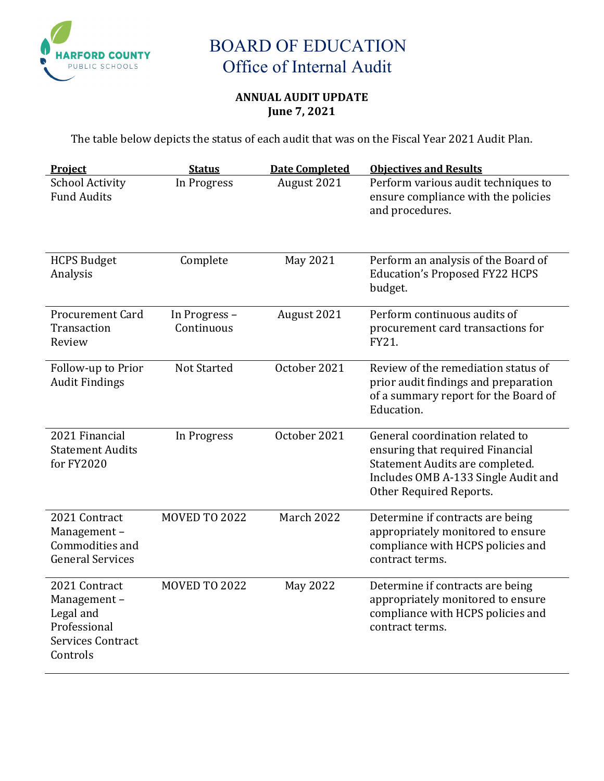

## **ANNUAL AUDIT UPDATE June 7, 2021**

The table below depicts the status of each audit that was on the Fiscal Year 2021 Audit Plan.

| Project                                                                                           | <b>Status</b>               | <b>Date Completed</b> | <b>Objectives and Results</b>                                                                                                                                            |
|---------------------------------------------------------------------------------------------------|-----------------------------|-----------------------|--------------------------------------------------------------------------------------------------------------------------------------------------------------------------|
| <b>School Activity</b><br><b>Fund Audits</b>                                                      | In Progress                 | August 2021           | Perform various audit techniques to<br>ensure compliance with the policies<br>and procedures.                                                                            |
| <b>HCPS Budget</b><br>Analysis                                                                    | Complete                    | May 2021              | Perform an analysis of the Board of<br><b>Education's Proposed FY22 HCPS</b><br>budget.                                                                                  |
| Procurement Card<br>Transaction<br>Review                                                         | In Progress -<br>Continuous | August 2021           | Perform continuous audits of<br>procurement card transactions for<br>FY21.                                                                                               |
| Follow-up to Prior<br><b>Audit Findings</b>                                                       | <b>Not Started</b>          | October 2021          | Review of the remediation status of<br>prior audit findings and preparation<br>of a summary report for the Board of<br>Education.                                        |
| 2021 Financial<br><b>Statement Audits</b><br>for FY2020                                           | In Progress                 | October 2021          | General coordination related to<br>ensuring that required Financial<br>Statement Audits are completed.<br>Includes OMB A-133 Single Audit and<br>Other Required Reports. |
| 2021 Contract<br>Management-<br>Commodities and<br><b>General Services</b>                        | <b>MOVED TO 2022</b>        | <b>March 2022</b>     | Determine if contracts are being<br>appropriately monitored to ensure<br>compliance with HCPS policies and<br>contract terms.                                            |
| 2021 Contract<br>Management-<br>Legal and<br>Professional<br><b>Services Contract</b><br>Controls | <b>MOVED TO 2022</b>        | <b>May 2022</b>       | Determine if contracts are being<br>appropriately monitored to ensure<br>compliance with HCPS policies and<br>contract terms.                                            |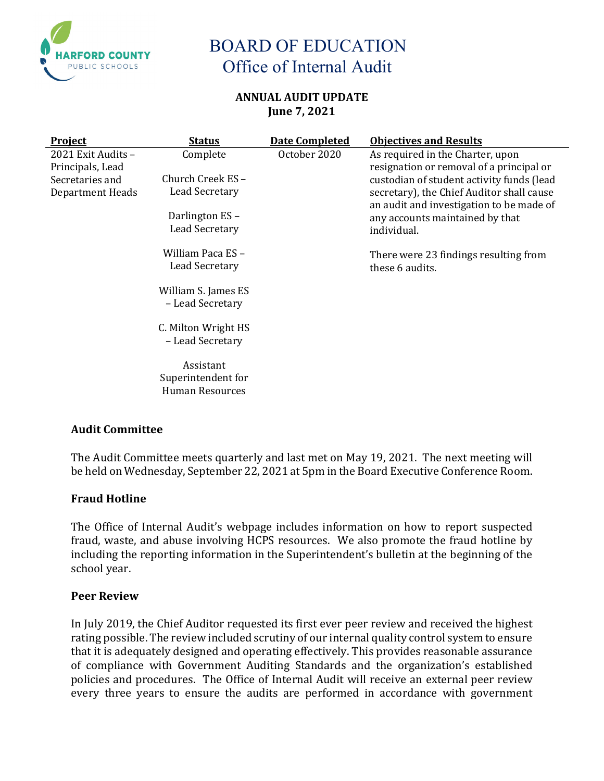

#### **ANNUAL AUDIT UPDATE June 7, 2021**

| <b>Project</b>                         | <b>Status</b>                           | <b>Date Completed</b> | <b>Objectives and Results</b>                                                |
|----------------------------------------|-----------------------------------------|-----------------------|------------------------------------------------------------------------------|
| 2021 Exit Audits -<br>Principals, Lead | Complete                                | October 2020          | As required in the Charter, upon<br>resignation or removal of a principal or |
| Secretaries and                        | Church Creek ES-                        |                       | custodian of student activity funds (lead                                    |
| Department Heads                       | Lead Secretary                          |                       | secretary), the Chief Auditor shall cause                                    |
|                                        | Darlington ES-                          |                       | an audit and investigation to be made of<br>any accounts maintained by that  |
|                                        | Lead Secretary                          |                       | individual.                                                                  |
|                                        | William Paca ES-                        |                       | There were 23 findings resulting from                                        |
|                                        | Lead Secretary                          |                       | these 6 audits.                                                              |
|                                        | William S. James ES<br>- Lead Secretary |                       |                                                                              |
|                                        |                                         |                       |                                                                              |
|                                        | C. Milton Wright HS                     |                       |                                                                              |
|                                        | - Lead Secretary                        |                       |                                                                              |
|                                        | Assistant                               |                       |                                                                              |
|                                        | Superintendent for<br>Human Resources   |                       |                                                                              |
|                                        |                                         |                       |                                                                              |

### **Audit Committee**

The Audit Committee meets quarterly and last met on May 19, 2021. The next meeting will be held on Wednesday, September 22, 2021 at 5pm in the Board Executive Conference Room.

### **Fraud Hotline**

The Office of Internal Audit's webpage includes information on how to report suspected fraud, waste, and abuse involving HCPS resources. We also promote the fraud hotline by including the reporting information in the Superintendent's bulletin at the beginning of the school year.

#### **Peer Review**

In July 2019, the Chief Auditor requested its first ever peer review and received the highest rating possible. The review included scrutiny of our internal quality control system to ensure that it is adequately designed and operating effectively. This provides reasonable assurance of compliance with Government Auditing Standards and the organization's established policies and procedures. The Office of Internal Audit will receive an external peer review every three years to ensure the audits are performed in accordance with government